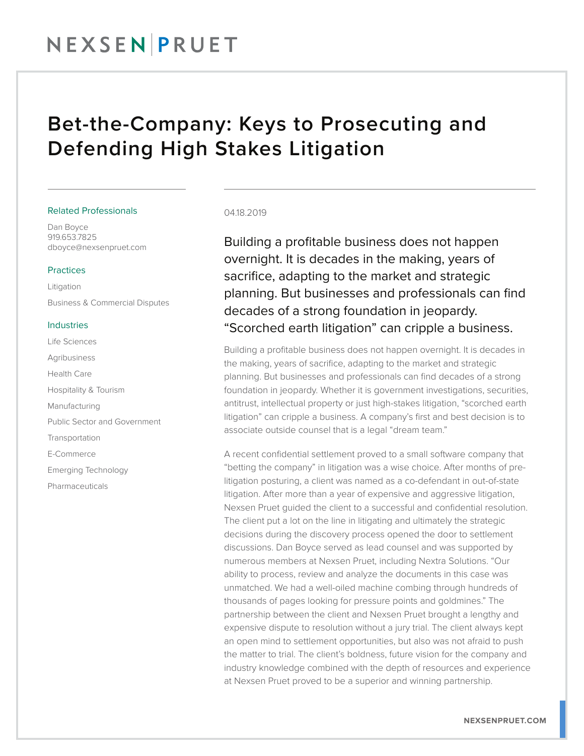# NEXSENPRUET

## Bet-the-Company: Keys to Prosecuting and Defending High Stakes Litigation

#### Related Professionals

Dan Boyce 919.653.7825 dboyce@nexsenpruet.com

#### Practices

Litigation Business & Commercial Disputes

#### Industries

Life Sciences Agribusiness Health Care Hospitality & Tourism Manufacturing Public Sector and Government **Transportation** E-Commerce Emerging Technology Pharmaceuticals

#### 04.18.2019

Building a profitable business does not happen overnight. It is decades in the making, years of sacrifice, adapting to the market and strategic planning. But businesses and professionals can find decades of a strong foundation in jeopardy. "Scorched earth litigation" can cripple a business.

Building a profitable business does not happen overnight. It is decades in the making, years of sacrifice, adapting to the market and strategic planning. But businesses and professionals can find decades of a strong foundation in jeopardy. Whether it is government investigations, securities, antitrust, intellectual property or just high-stakes litigation, "scorched earth litigation" can cripple a business. A company's first and best decision is to associate outside counsel that is a legal "dream team."

A recent confidential settlement proved to a small software company that "betting the company" in litigation was a wise choice. After months of prelitigation posturing, a client was named as a co-defendant in out-of-state litigation. After more than a year of expensive and aggressive litigation, Nexsen Pruet guided the client to a successful and confidential resolution. The client put a lot on the line in litigating and ultimately the strategic decisions during the discovery process opened the door to settlement discussions. Dan Boyce served as lead counsel and was supported by numerous members at Nexsen Pruet, including Nextra Solutions. "Our ability to process, review and analyze the documents in this case was unmatched. We had a well-oiled machine combing through hundreds of thousands of pages looking for pressure points and goldmines." The partnership between the client and Nexsen Pruet brought a lengthy and expensive dispute to resolution without a jury trial. The client always kept an open mind to settlement opportunities, but also was not afraid to push the matter to trial. The client's boldness, future vision for the company and industry knowledge combined with the depth of resources and experience at Nexsen Pruet proved to be a superior and winning partnership.